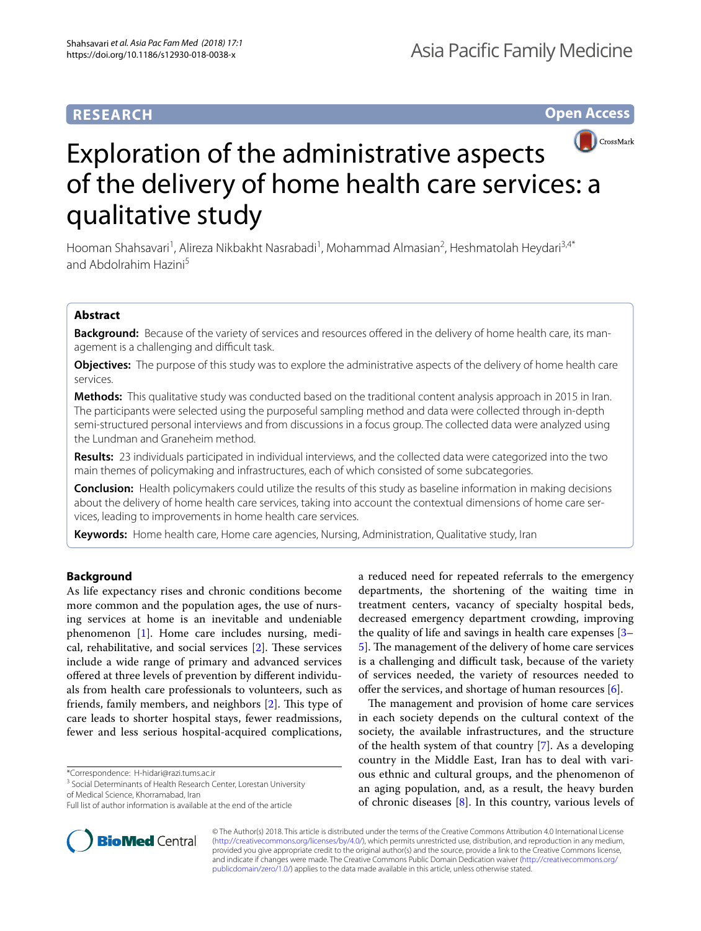**Open Access**



# Exploration of the administrative aspects of the delivery of home health care services: a qualitative study

Hooman Shahsavari<sup>1</sup>, Alireza Nikbakht Nasrabadi<sup>1</sup>, Mohammad Almasian<sup>2</sup>, Heshmatolah Heydari<sup>3,4\*</sup> and Abdolrahim Hazini<sup>5</sup>

# **Abstract**

**Background:** Because of the variety of services and resources offered in the delivery of home health care, its management is a challenging and difficult task.

**Objectives:** The purpose of this study was to explore the administrative aspects of the delivery of home health care services.

**Methods:** This qualitative study was conducted based on the traditional content analysis approach in 2015 in Iran. The participants were selected using the purposeful sampling method and data were collected through in-depth semi-structured personal interviews and from discussions in a focus group. The collected data were analyzed using the Lundman and Graneheim method.

**Results:** 23 individuals participated in individual interviews, and the collected data were categorized into the two main themes of policymaking and infrastructures, each of which consisted of some subcategories.

**Conclusion:** Health policymakers could utilize the results of this study as baseline information in making decisions about the delivery of home health care services, taking into account the contextual dimensions of home care services, leading to improvements in home health care services.

**Keywords:** Home health care, Home care agencies, Nursing, Administration, Qualitative study, Iran

# **Background**

As life expectancy rises and chronic conditions become more common and the population ages, the use of nursing services at home is an inevitable and undeniable phenomenon [[1](#page-5-0)]. Home care includes nursing, medical, rehabilitative, and social services  $[2]$  $[2]$ . These services include a wide range of primary and advanced services ofered at three levels of prevention by diferent individuals from health care professionals to volunteers, such as friends, family members, and neighbors [[2\]](#page-5-1). This type of care leads to shorter hospital stays, fewer readmissions, fewer and less serious hospital-acquired complications,

\*Correspondence: H-hidari@razi.tums.ac.ir 3

<sup>3</sup> Social Determinants of Health Research Center, Lorestan University of Medical Science, Khorramabad, Iran

Full list of author information is available at the end of the article



a reduced need for repeated referrals to the emergency departments, the shortening of the waiting time in treatment centers, vacancy of specialty hospital beds, decreased emergency department crowding, improving the quality of life and savings in health care expenses [[3–](#page-5-2) 5. The management of the delivery of home care services is a challenging and difficult task, because of the variety of services needed, the variety of resources needed to offer the services, and shortage of human resources  $[6]$  $[6]$ .

The management and provision of home care services in each society depends on the cultural context of the society, the available infrastructures, and the structure of the health system of that country [\[7](#page-5-5)]. As a developing country in the Middle East, Iran has to deal with various ethnic and cultural groups, and the phenomenon of an aging population, and, as a result, the heavy burden of chronic diseases [\[8](#page-6-0)]. In this country, various levels of

© The Author(s) 2018. This article is distributed under the terms of the Creative Commons Attribution 4.0 International License [\(http://creativecommons.org/licenses/by/4.0/\)](http://creativecommons.org/licenses/by/4.0/), which permits unrestricted use, distribution, and reproduction in any medium, provided you give appropriate credit to the original author(s) and the source, provide a link to the Creative Commons license, and indicate if changes were made. The Creative Commons Public Domain Dedication waiver ([http://creativecommons.org/](http://creativecommons.org/publicdomain/zero/1.0/) [publicdomain/zero/1.0/](http://creativecommons.org/publicdomain/zero/1.0/)) applies to the data made available in this article, unless otherwise stated.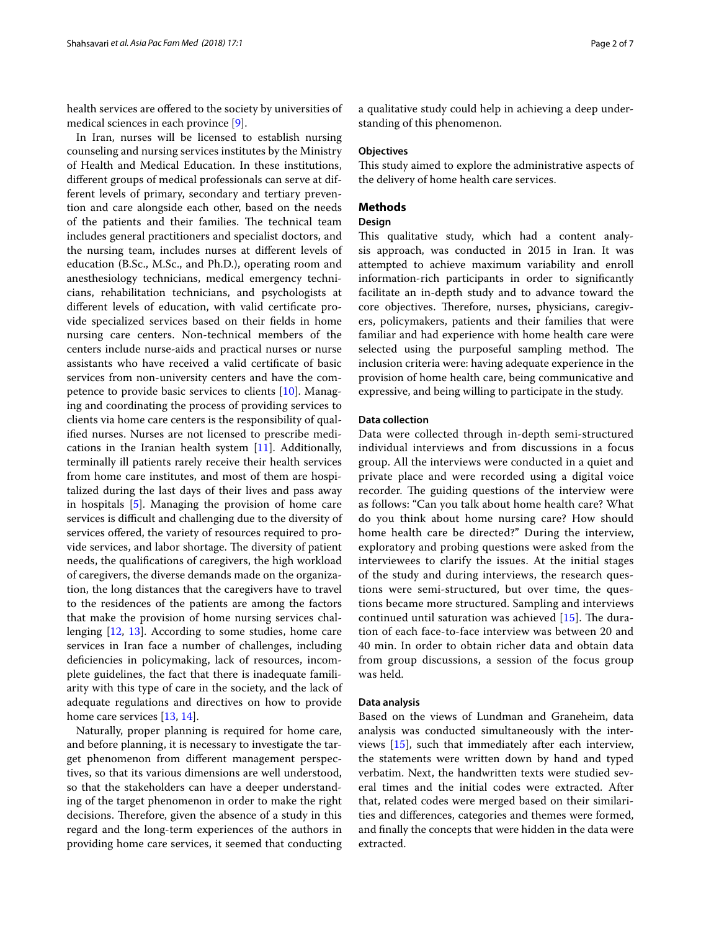health services are ofered to the society by universities of medical sciences in each province [[9\]](#page-6-1).

In Iran, nurses will be licensed to establish nursing counseling and nursing services institutes by the Ministry of Health and Medical Education. In these institutions, diferent groups of medical professionals can serve at different levels of primary, secondary and tertiary prevention and care alongside each other, based on the needs of the patients and their families. The technical team includes general practitioners and specialist doctors, and the nursing team, includes nurses at diferent levels of education (B.Sc., M.Sc., and Ph.D.), operating room and anesthesiology technicians, medical emergency technicians, rehabilitation technicians, and psychologists at diferent levels of education, with valid certifcate provide specialized services based on their felds in home nursing care centers. Non-technical members of the centers include nurse-aids and practical nurses or nurse assistants who have received a valid certifcate of basic services from non-university centers and have the competence to provide basic services to clients [\[10](#page-6-2)]. Managing and coordinating the process of providing services to clients via home care centers is the responsibility of qualifed nurses. Nurses are not licensed to prescribe medications in the Iranian health system [[11\]](#page-6-3). Additionally, terminally ill patients rarely receive their health services from home care institutes, and most of them are hospitalized during the last days of their lives and pass away in hospitals [\[5](#page-5-3)]. Managing the provision of home care services is difficult and challenging due to the diversity of services ofered, the variety of resources required to provide services, and labor shortage. The diversity of patient needs, the qualifcations of caregivers, the high workload of caregivers, the diverse demands made on the organization, the long distances that the caregivers have to travel to the residences of the patients are among the factors that make the provision of home nursing services challenging [[12](#page-6-4), [13](#page-6-5)]. According to some studies, home care services in Iran face a number of challenges, including deficiencies in policymaking, lack of resources, incomplete guidelines, the fact that there is inadequate familiarity with this type of care in the society, and the lack of adequate regulations and directives on how to provide home care services [\[13](#page-6-5), [14\]](#page-6-6).

Naturally, proper planning is required for home care, and before planning, it is necessary to investigate the target phenomenon from diferent management perspectives, so that its various dimensions are well understood, so that the stakeholders can have a deeper understanding of the target phenomenon in order to make the right decisions. Therefore, given the absence of a study in this regard and the long-term experiences of the authors in providing home care services, it seemed that conducting a qualitative study could help in achieving a deep understanding of this phenomenon.

#### **Objectives**

This study aimed to explore the administrative aspects of the delivery of home health care services.

## **Methods**

## **Design**

This qualitative study, which had a content analysis approach, was conducted in 2015 in Iran. It was attempted to achieve maximum variability and enroll information-rich participants in order to signifcantly facilitate an in-depth study and to advance toward the core objectives. Therefore, nurses, physicians, caregivers, policymakers, patients and their families that were familiar and had experience with home health care were selected using the purposeful sampling method. The inclusion criteria were: having adequate experience in the provision of home health care, being communicative and expressive, and being willing to participate in the study.

#### **Data collection**

Data were collected through in-depth semi-structured individual interviews and from discussions in a focus group. All the interviews were conducted in a quiet and private place and were recorded using a digital voice recorder. The guiding questions of the interview were as follows: "Can you talk about home health care? What do you think about home nursing care? How should home health care be directed?" During the interview, exploratory and probing questions were asked from the interviewees to clarify the issues. At the initial stages of the study and during interviews, the research questions were semi-structured, but over time, the questions became more structured. Sampling and interviews continued until saturation was achieved  $[15]$  $[15]$ . The duration of each face-to-face interview was between 20 and 40 min. In order to obtain richer data and obtain data from group discussions, a session of the focus group was held.

#### **Data analysis**

Based on the views of Lundman and Graneheim, data analysis was conducted simultaneously with the interviews [[15\]](#page-6-7), such that immediately after each interview, the statements were written down by hand and typed verbatim. Next, the handwritten texts were studied several times and the initial codes were extracted. After that, related codes were merged based on their similarities and diferences, categories and themes were formed, and fnally the concepts that were hidden in the data were extracted.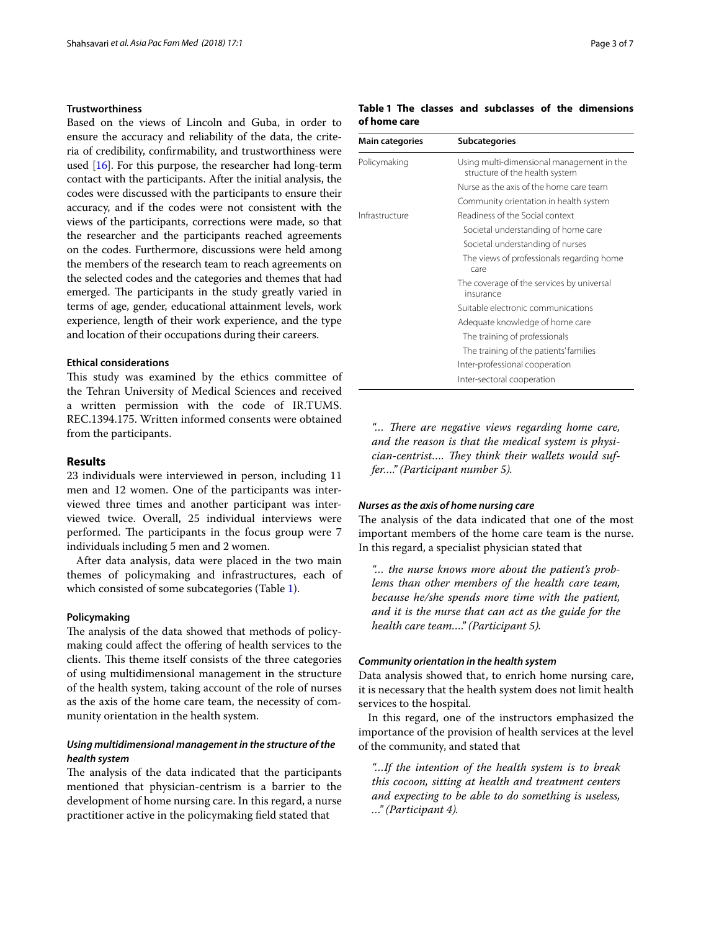## **Trustworthiness**

Based on the views of Lincoln and Guba, in order to ensure the accuracy and reliability of the data, the criteria of credibility, confrmability, and trustworthiness were used [[16](#page-6-8)]. For this purpose, the researcher had long-term contact with the participants. After the initial analysis, the codes were discussed with the participants to ensure their accuracy, and if the codes were not consistent with the views of the participants, corrections were made, so that the researcher and the participants reached agreements on the codes. Furthermore, discussions were held among the members of the research team to reach agreements on the selected codes and the categories and themes that had emerged. The participants in the study greatly varied in terms of age, gender, educational attainment levels, work experience, length of their work experience, and the type and location of their occupations during their careers.

#### **Ethical considerations**

This study was examined by the ethics committee of the Tehran University of Medical Sciences and received a written permission with the code of IR.TUMS. REC.1394.175. Written informed consents were obtained from the participants.

#### **Results**

23 individuals were interviewed in person, including 11 men and 12 women. One of the participants was interviewed three times and another participant was interviewed twice. Overall, 25 individual interviews were performed. The participants in the focus group were 7 individuals including 5 men and 2 women.

After data analysis, data were placed in the two main themes of policymaking and infrastructures, each of which consisted of some subcategories (Table [1](#page-2-0)).

#### **Policymaking**

The analysis of the data showed that methods of policymaking could affect the offering of health services to the clients. This theme itself consists of the three categories of using multidimensional management in the structure of the health system, taking account of the role of nurses as the axis of the home care team, the necessity of community orientation in the health system.

# *Using multidimensional management in the structure of the health system*

The analysis of the data indicated that the participants mentioned that physician-centrism is a barrier to the development of home nursing care. In this regard, a nurse practitioner active in the policymaking feld stated that

# <span id="page-2-0"></span>**Table 1 The classes and subclasses of the dimensions of home care**

| <b>Main categories</b> | <b>Subcategories</b>                                                        |
|------------------------|-----------------------------------------------------------------------------|
| Policymaking           | Using multi-dimensional management in the<br>structure of the health system |
|                        | Nurse as the axis of the home care team                                     |
|                        | Community orientation in health system                                      |
| Infrastructure         | Readiness of the Social context                                             |
|                        | Societal understanding of home care                                         |
|                        | Societal understanding of nurses                                            |
|                        | The views of professionals regarding home<br>care                           |
|                        | The coverage of the services by universal<br>insurance                      |
|                        | Suitable electronic communications                                          |
|                        | Adequate knowledge of home care                                             |
|                        | The training of professionals                                               |
|                        | The training of the patients' families                                      |
|                        | Inter-professional cooperation                                              |
|                        | Inter-sectoral cooperation                                                  |

"... There are negative views regarding home care, *and the reason is that the medical system is physi*cian-centrist.... They think their wallets would suf*fer…." (Participant number 5).*

## *Nurses asthe axis of home nursing care*

The analysis of the data indicated that one of the most important members of the home care team is the nurse. In this regard, a specialist physician stated that

*"… the nurse knows more about the patient's problems than other members of the health care team, because he/she spends more time with the patient, and it is the nurse that can act as the guide for the health care team…." (Participant 5).*

#### *Community orientation in the health system*

Data analysis showed that, to enrich home nursing care, it is necessary that the health system does not limit health services to the hospital.

In this regard, one of the instructors emphasized the importance of the provision of health services at the level of the community, and stated that

*"…If the intention of the health system is to break this cocoon, sitting at health and treatment centers and expecting to be able to do something is useless, …" (Participant 4).*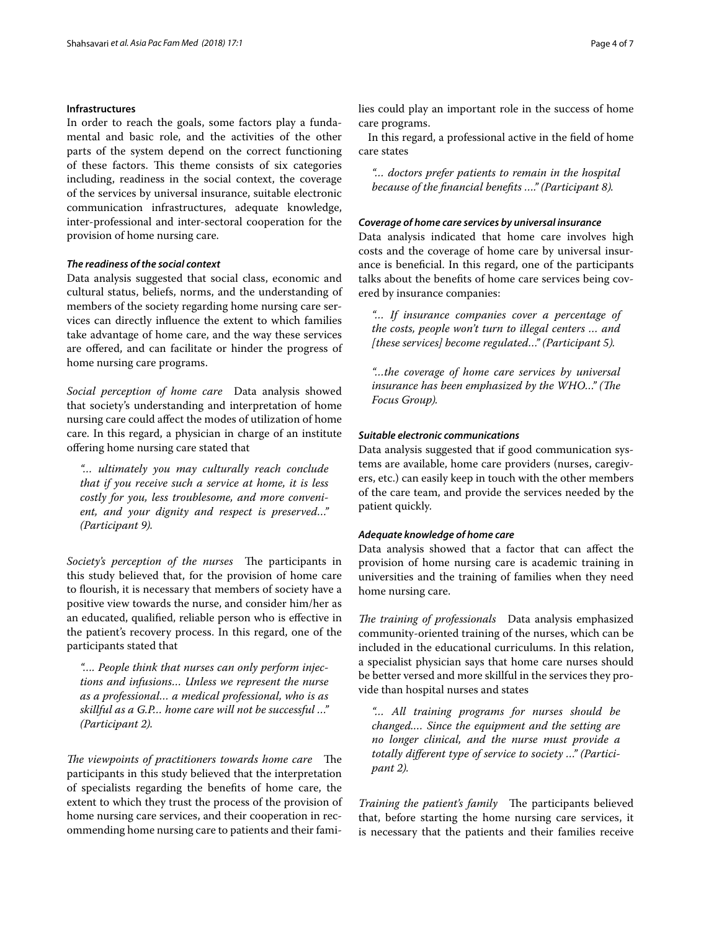## **Infrastructures**

In order to reach the goals, some factors play a fundamental and basic role, and the activities of the other parts of the system depend on the correct functioning of these factors. This theme consists of six categories including, readiness in the social context, the coverage of the services by universal insurance, suitable electronic communication infrastructures, adequate knowledge, inter-professional and inter-sectoral cooperation for the provision of home nursing care.

## *The readiness of the social context*

Data analysis suggested that social class, economic and cultural status, beliefs, norms, and the understanding of members of the society regarding home nursing care services can directly infuence the extent to which families take advantage of home care, and the way these services are ofered, and can facilitate or hinder the progress of home nursing care programs.

*Social perception of home care* Data analysis showed that society's understanding and interpretation of home nursing care could afect the modes of utilization of home care. In this regard, a physician in charge of an institute ofering home nursing care stated that

*"… ultimately you may culturally reach conclude that if you receive such a service at home, it is less costly for you, less troublesome, and more convenient, and your dignity and respect is preserved…" (Participant 9).*

*Society's perception of the nurses* The participants in this study believed that, for the provision of home care to flourish, it is necessary that members of society have a positive view towards the nurse, and consider him/her as an educated, qualifed, reliable person who is efective in the patient's recovery process. In this regard, one of the participants stated that

*"…. People think that nurses can only perform injections and infusions… Unless we represent the nurse as a professional… a medical professional, who is as skillful as a G.P… home care will not be successful …" (Participant 2).*

*The viewpoints of practitioners towards home care* The participants in this study believed that the interpretation of specialists regarding the benefts of home care, the extent to which they trust the process of the provision of home nursing care services, and their cooperation in recommending home nursing care to patients and their families could play an important role in the success of home care programs.

In this regard, a professional active in the feld of home care states

*"… doctors prefer patients to remain in the hospital because of the fnancial benefts …." (Participant 8).*

#### *Coverage of home care services by universal insurance*

Data analysis indicated that home care involves high costs and the coverage of home care by universal insurance is benefcial. In this regard, one of the participants talks about the benefts of home care services being covered by insurance companies:

*"… If insurance companies cover a percentage of the costs, people won't turn to illegal centers … and [these services] become regulated…" (Participant 5).*

*"…the coverage of home care services by universal*  insurance has been emphasized by the WHO..." (The *Focus Group).*

# *Suitable electronic communications*

Data analysis suggested that if good communication systems are available, home care providers (nurses, caregivers, etc.) can easily keep in touch with the other members of the care team, and provide the services needed by the patient quickly.

## *Adequate knowledge of home care*

Data analysis showed that a factor that can afect the provision of home nursing care is academic training in universities and the training of families when they need home nursing care.

*The training of professionals* Data analysis emphasized community-oriented training of the nurses, which can be included in the educational curriculums. In this relation, a specialist physician says that home care nurses should be better versed and more skillful in the services they provide than hospital nurses and states

*"… All training programs for nurses should be changed.… Since the equipment and the setting are no longer clinical, and the nurse must provide a totally diferent type of service to society …" (Participant 2).*

*Training the patient's family* The participants believed that, before starting the home nursing care services, it is necessary that the patients and their families receive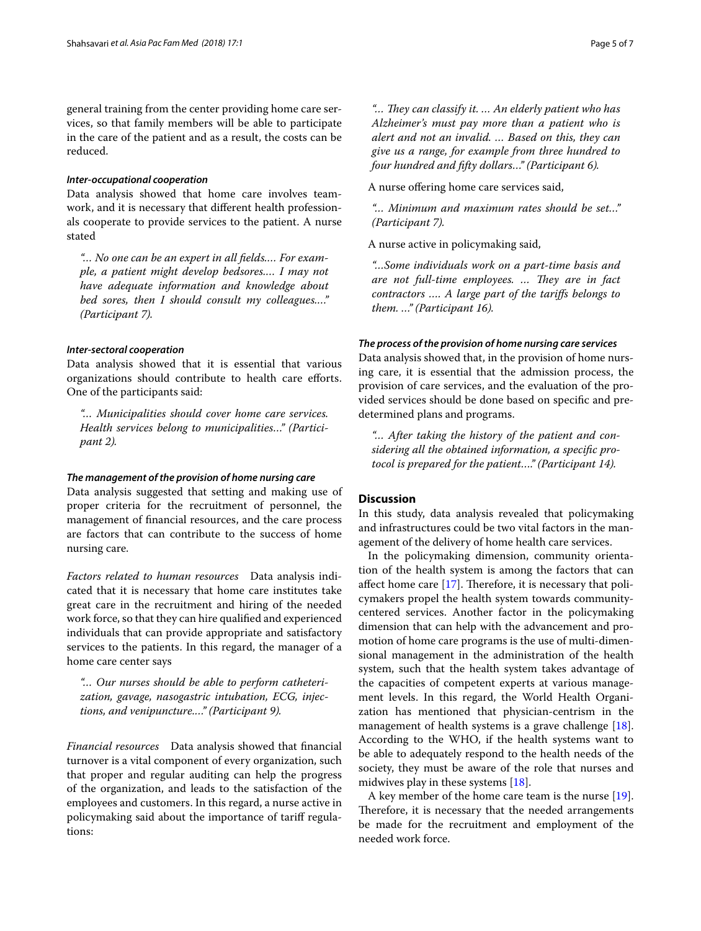general training from the center providing home care services, so that family members will be able to participate in the care of the patient and as a result, the costs can be reduced.

## *Inter‑occupational cooperation*

Data analysis showed that home care involves teamwork, and it is necessary that diferent health professionals cooperate to provide services to the patient. A nurse stated

*"… No one can be an expert in all felds.… For example, a patient might develop bedsores.… I may not have adequate information and knowledge about bed sores, then I should consult my colleagues.…" (Participant 7).*

#### *Inter‑sectoral cooperation*

Data analysis showed that it is essential that various organizations should contribute to health care efforts. One of the participants said:

*"… Municipalities should cover home care services. Health services belong to municipalities…" (Participant 2).*

#### *The management of the provision of home nursing care*

Data analysis suggested that setting and making use of proper criteria for the recruitment of personnel, the management of fnancial resources, and the care process are factors that can contribute to the success of home nursing care.

*Factors related to human resources* Data analysis indicated that it is necessary that home care institutes take great care in the recruitment and hiring of the needed work force, so that they can hire qualifed and experienced individuals that can provide appropriate and satisfactory services to the patients. In this regard, the manager of a home care center says

*"… Our nurses should be able to perform catheterization, gavage, nasogastric intubation, ECG, injections, and venipuncture.…" (Participant 9).*

*Financial resources* Data analysis showed that fnancial turnover is a vital component of every organization, such that proper and regular auditing can help the progress of the organization, and leads to the satisfaction of the employees and customers. In this regard, a nurse active in policymaking said about the importance of tarif regulations:

*"… Tey can classify it. … An elderly patient who has Alzheimer's must pay more than a patient who is alert and not an invalid. … Based on this, they can give us a range, for example from three hundred to four hundred and ffty dollars…" (Participant 6).*

A nurse ofering home care services said,

*"… Minimum and maximum rates should be set…" (Participant 7).*

A nurse active in policymaking said,

*"…Some individuals work on a part-time basis and*  are not full-time employees. ... They are in fact *contractors …. A large part of the tarifs belongs to them. …" (Participant 16).*

#### *The process of the provision of home nursing care services*

Data analysis showed that, in the provision of home nursing care, it is essential that the admission process, the provision of care services, and the evaluation of the provided services should be done based on specifc and predetermined plans and programs.

*"… After taking the history of the patient and considering all the obtained information, a specifc protocol is prepared for the patient…." (Participant 14).*

## **Discussion**

In this study, data analysis revealed that policymaking and infrastructures could be two vital factors in the management of the delivery of home health care services.

In the policymaking dimension, community orientation of the health system is among the factors that can affect home care  $[17]$  $[17]$ . Therefore, it is necessary that policymakers propel the health system towards communitycentered services. Another factor in the policymaking dimension that can help with the advancement and promotion of home care programs is the use of multi-dimensional management in the administration of the health system, such that the health system takes advantage of the capacities of competent experts at various management levels. In this regard, the World Health Organization has mentioned that physician-centrism in the management of health systems is a grave challenge [\[18](#page-6-10)]. According to the WHO, if the health systems want to be able to adequately respond to the health needs of the society, they must be aware of the role that nurses and midwives play in these systems [\[18](#page-6-10)].

A key member of the home care team is the nurse [\[19](#page-6-11)]. Therefore, it is necessary that the needed arrangements be made for the recruitment and employment of the needed work force.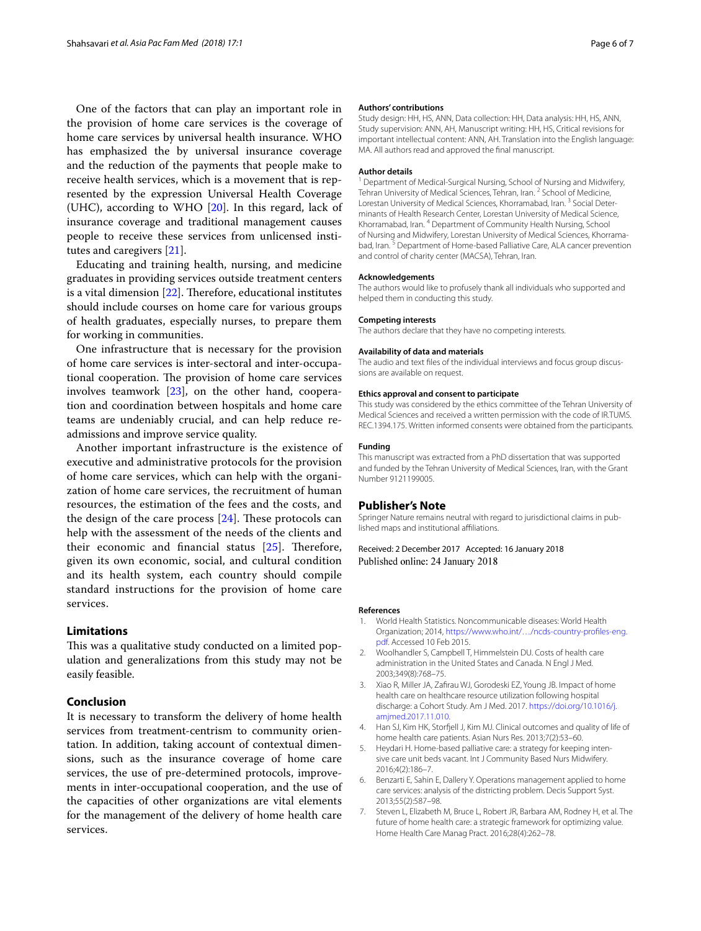One of the factors that can play an important role in the provision of home care services is the coverage of home care services by universal health insurance. WHO has emphasized the by universal insurance coverage and the reduction of the payments that people make to receive health services, which is a movement that is represented by the expression Universal Health Coverage (UHC), according to WHO [\[20](#page-6-12)]. In this regard, lack of insurance coverage and traditional management causes people to receive these services from unlicensed institutes and caregivers [\[21](#page-6-13)].

Educating and training health, nursing, and medicine graduates in providing services outside treatment centers is a vital dimension  $[22]$  $[22]$ . Therefore, educational institutes should include courses on home care for various groups of health graduates, especially nurses, to prepare them for working in communities.

One infrastructure that is necessary for the provision of home care services is inter-sectoral and inter-occupational cooperation. The provision of home care services involves teamwork [\[23](#page-6-15)], on the other hand, cooperation and coordination between hospitals and home care teams are undeniably crucial, and can help reduce readmissions and improve service quality.

Another important infrastructure is the existence of executive and administrative protocols for the provision of home care services, which can help with the organization of home care services, the recruitment of human resources, the estimation of the fees and the costs, and the design of the care process  $[24]$  $[24]$ . These protocols can help with the assessment of the needs of the clients and their economic and financial status  $[25]$  $[25]$ . Therefore, given its own economic, social, and cultural condition and its health system, each country should compile standard instructions for the provision of home care services.

## **Limitations**

This was a qualitative study conducted on a limited population and generalizations from this study may not be easily feasible.

#### **Conclusion**

It is necessary to transform the delivery of home health services from treatment-centrism to community orientation. In addition, taking account of contextual dimensions, such as the insurance coverage of home care services, the use of pre-determined protocols, improvements in inter-occupational cooperation, and the use of the capacities of other organizations are vital elements for the management of the delivery of home health care services.

#### **Authors' contributions**

Study design: HH, HS, ANN, Data collection: HH, Data analysis: HH, HS, ANN, Study supervision: ANN, AH, Manuscript writing: HH, HS, Critical revisions for important intellectual content: ANN, AH. Translation into the English language: MA. All authors read and approved the fnal manuscript.

#### **Author details**

<sup>1</sup> Department of Medical-Surgical Nursing, School of Nursing and Midwifery, Tehran University of Medical Sciences, Tehran, Iran.<sup>2</sup> School of Medicine, Lorestan University of Medical Sciences, Khorramabad, Iran.<sup>3</sup> Social Determinants of Health Research Center, Lorestan University of Medical Science, Khorramabad, Iran. 4 Department of Community Health Nursing, School of Nursing and Midwifery, Lorestan University of Medical Sciences, Khorramabad, Iran.<sup>5</sup> Department of Home-based Palliative Care, ALA cancer prevention and control of charity center (MACSA), Tehran, Iran.

#### **Acknowledgements**

The authors would like to profusely thank all individuals who supported and helped them in conducting this study.

#### **Competing interests**

The authors declare that they have no competing interests.

#### **Availability of data and materials**

The audio and text fles of the individual interviews and focus group discussions are available on request.

#### **Ethics approval and consent to participate**

This study was considered by the ethics committee of the Tehran University of Medical Sciences and received a written permission with the code of IR.TUMS. REC.1394.175. Written informed consents were obtained from the participants.

#### **Funding**

This manuscript was extracted from a PhD dissertation that was supported and funded by the Tehran University of Medical Sciences, Iran, with the Grant Number 9121199005.

#### **Publisher's Note**

Springer Nature remains neutral with regard to jurisdictional claims in published maps and institutional afliations.

Received: 2 December 2017 Accepted: 16 January 2018 Published online: 24 January 2018

#### **References**

- <span id="page-5-0"></span>1. World Health Statistics. Noncommunicable diseases: World Health Organization; 2014, [https://www.who.int/…/ncds-country-profles-eng.](https://www.who.int/%e2%80%a6/ncds-country-profiles-eng.pdf) [pdf.](https://www.who.int/%e2%80%a6/ncds-country-profiles-eng.pdf) Accessed 10 Feb 2015.
- <span id="page-5-1"></span>2. Woolhandler S, Campbell T, Himmelstein DU. Costs of health care administration in the United States and Canada. N Engl J Med. 2003;349(8):768–75.
- <span id="page-5-2"></span>3. Xiao R, Miller JA, Zafrau WJ, Gorodeski EZ, Young JB. Impact of home health care on healthcare resource utilization following hospital discharge: a Cohort Study. Am J Med. 2017. [https://doi.org/10.1016/j.](https://doi.org/10.1016/j.amjmed.2017.11.010) [amjmed.2017.11.010.](https://doi.org/10.1016/j.amjmed.2017.11.010)
- 4. Han SJ, Kim HK, Storfell J, Kim MJ. Clinical outcomes and quality of life of home health care patients. Asian Nurs Res. 2013;7(2):53–60.
- <span id="page-5-3"></span>5. Heydari H. Home-based palliative care: a strategy for keeping intensive care unit beds vacant. Int J Community Based Nurs Midwifery. 2016;4(2):186–7.
- <span id="page-5-4"></span>6. Benzarti E, Sahin E, Dallery Y. Operations management applied to home care services: analysis of the districting problem. Decis Support Syst. 2013;55(2):587–98.
- <span id="page-5-5"></span>7. Steven L, Elizabeth M, Bruce L, Robert JR, Barbara AM, Rodney H, et al. The future of home health care: a strategic framework for optimizing value. Home Health Care Manag Pract. 2016;28(4):262–78.